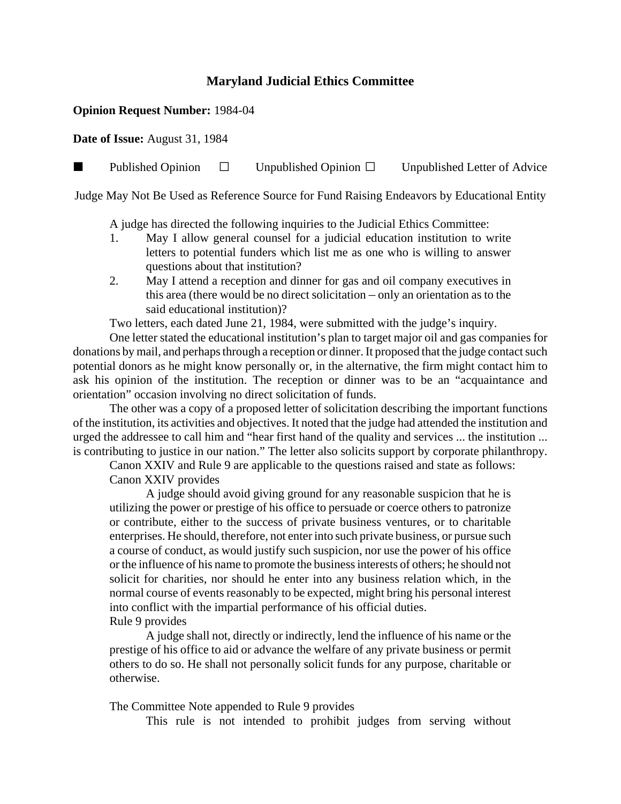## **Maryland Judicial Ethics Committee**

## **Opinion Request Number:** 1984-04

**Date of Issue:** August 31, 1984

**Published Opinion**  $\Box$  Unpublished Opinion  $\Box$  Unpublished Letter of Advice

Judge May Not Be Used as Reference Source for Fund Raising Endeavors by Educational Entity

A judge has directed the following inquiries to the Judicial Ethics Committee:

- 1. May I allow general counsel for a judicial education institution to write letters to potential funders which list me as one who is willing to answer questions about that institution?
- 2. May I attend a reception and dinner for gas and oil company executives in this area (there would be no direct solicitation  $-$  only an orientation as to the said educational institution)?

Two letters, each dated June 21, 1984, were submitted with the judge's inquiry.

One letter stated the educational institution's plan to target major oil and gas companies for donations by mail, and perhaps through a reception or dinner. It proposed that the judge contact such potential donors as he might know personally or, in the alternative, the firm might contact him to ask his opinion of the institution. The reception or dinner was to be an "acquaintance and orientation" occasion involving no direct solicitation of funds.

The other was a copy of a proposed letter of solicitation describing the important functions of the institution, its activities and objectives. It noted that the judge had attended the institution and urged the addressee to call him and "hear first hand of the quality and services ... the institution ... is contributing to justice in our nation." The letter also solicits support by corporate philanthropy.

Canon XXIV and Rule 9 are applicable to the questions raised and state as follows: Canon XXIV provides

A judge should avoid giving ground for any reasonable suspicion that he is utilizing the power or prestige of his office to persuade or coerce others to patronize or contribute, either to the success of private business ventures, or to charitable enterprises. He should, therefore, not enter into such private business, or pursue such a course of conduct, as would justify such suspicion, nor use the power of his office or the influence of his name to promote the business interests of others; he should not solicit for charities, nor should he enter into any business relation which, in the normal course of events reasonably to be expected, might bring his personal interest into conflict with the impartial performance of his official duties. Rule 9 provides

A judge shall not, directly or indirectly, lend the influence of his name or the prestige of his office to aid or advance the welfare of any private business or permit others to do so. He shall not personally solicit funds for any purpose, charitable or otherwise.

The Committee Note appended to Rule 9 provides

This rule is not intended to prohibit judges from serving without